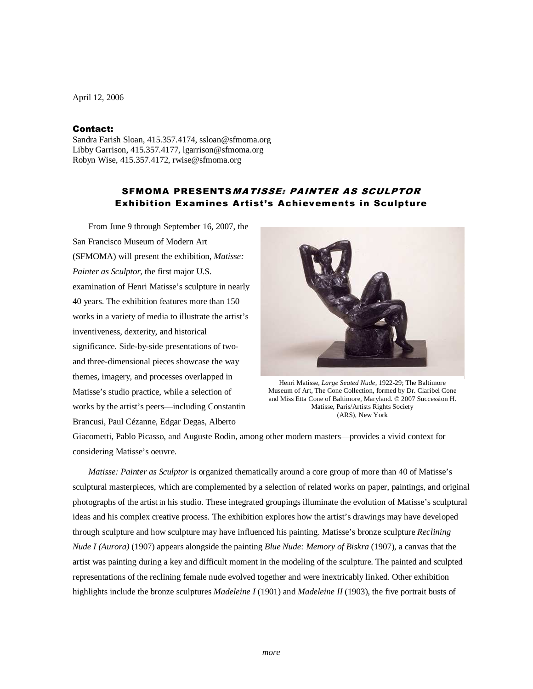April 12, 2006

## Contact:

Sandra Farish Sloan, 415.357.4174, ssloan@sfmoma.org Libby Garrison, 415.357.4177, lgarrison@sfmoma.org Robyn Wise, 415.357.4172, rwise@sfmoma.org

## SFMOMA PRESENTSMATISSE: PAINTER AS SCULPTOR Exhibition Examines Artist's Achievements in Sculpture

From June 9 through September 16, 2007, the San Francisco Museum of Modern Art (SFMOMA) will present the exhibition, *Matisse: Painter as Sculptor*, the first major U.S. examination of Henri Matisse's sculpture in nearly 40 years. The exhibition features more than 150 works in a variety of media to illustrate the artist's inventiveness, dexterity, and historical significance. Side-by-side presentations of twoand three-dimensional pieces showcase the way themes, imagery, and processes overlapped in Matisse's studio practice, while a selection of works by the artist's peers—including Constantin Brancusi, Paul Cézanne, Edgar Degas, Alberto



Henri Matisse, *Large Seated Nude*, 1922-29; The Baltimore Museum of Art, The Cone Collection, formed by Dr. Claribel Cone and Miss Etta Cone of Baltimore, Maryland. © 2007 Succession H. Matisse, Paris/Artists Rights Society (ARS), New York

Giacometti, Pablo Picasso, and Auguste Rodin, among other modern masters—provides a vivid context for considering Matisse's oeuvre.

*Matisse: Painter as Sculptor* is organized thematically around a core group of more than 40 of Matisse's sculptural masterpieces, which are complemented by a selection of related works on paper, paintings, and original photographs of the artist in his studio. These integrated groupings illuminate the evolution of Matisse's sculptural ideas and his complex creative process. The exhibition explores how the artist's drawings may have developed through sculpture and how sculpture may have influenced his painting. Matisse's bronze sculpture *Reclining Nude I (Aurora)* (1907) appears alongside the painting *Blue Nude: Memory of Biskra* (1907), a canvas that the artist was painting during a key and difficult moment in the modeling of the sculpture. The painted and sculpted representations of the reclining female nude evolved together and were inextricably linked. Other exhibition highlights include the bronze sculptures *Madeleine I* (1901) and *Madeleine II* (1903), the five portrait busts of